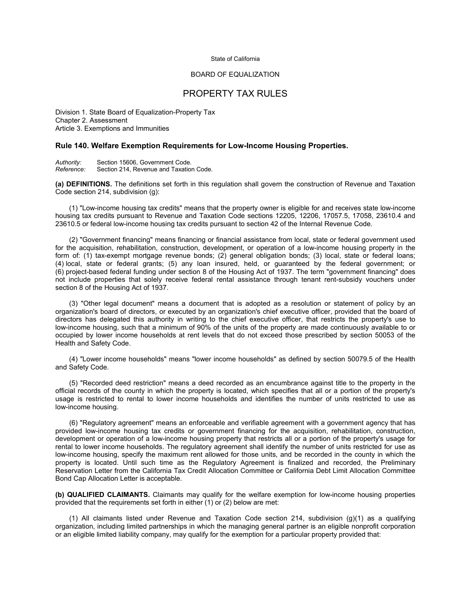#### State of California

## BOARD OF EQUALIZATION

# PROPERTY TAX RULES

Division 1. State Board of Equalization-Property Tax Chapter 2. Assessment Article 3. Exemptions and Immunities

### **Rule 140. Welfare Exemption Requirements for Low-Income Housing Properties.**

| Authority: | Section 15606, Government Code.         |
|------------|-----------------------------------------|
| Reference: | Section 214, Revenue and Taxation Code. |

**(a) DEFINITIONS.** The definitions set forth in this regulation shall govern the construction of Revenue and Taxation Code section 214, subdivision (g):

(1) "Low-income housing tax credits" means that the property owner is eligible for and receives state low-income housing tax credits pursuant to Revenue and Taxation Code sections 12205, 12206, 17057.5, 17058, 23610.4 and 23610.5 or federal low-income housing tax credits pursuant to section 42 of the Internal Revenue Code.

(2) "Government financing" means financing or financial assistance from local, state or federal government used for the acquisition, rehabilitation, construction, development, or operation of a low-income housing property in the form of: (1) tax-exempt mortgage revenue bonds; (2) general obligation bonds; (3) local, state or federal loans; (4) local, state or federal grants; (5) any loan insured, held, or guaranteed by the federal government; or (6) project-based federal funding under section 8 of the Housing Act of 1937. The term "government financing" does not include properties that solely receive federal rental assistance through tenant rent-subsidy vouchers under section 8 of the Housing Act of 1937.

(3) "Other legal document" means a document that is adopted as a resolution or statement of policy by an organization's board of directors, or executed by an organization's chief executive officer, provided that the board of directors has delegated this authority in writing to the chief executive officer, that restricts the property's use to low-income housing, such that a minimum of 90% of the units of the property are made continuously available to or occupied by lower income households at rent levels that do not exceed those prescribed by section 50053 of the Health and Safety Code.

(4) "Lower income households" means "lower income households" as defined by section 50079.5 of the Health and Safety Code.

(5) "Recorded deed restriction" means a deed recorded as an encumbrance against title to the property in the official records of the county in which the property is located, which specifies that all or a portion of the property's usage is restricted to rental to lower income households and identifies the number of units restricted to use as low-income housing.

(6) "Regulatory agreement" means an enforceable and verifiable agreement with a government agency that has provided low-income housing tax credits or government financing for the acquisition, rehabilitation, construction, development or operation of a low-income housing property that restricts all or a portion of the property's usage for rental to lower income households. The regulatory agreement shall identify the number of units restricted for use as low-income housing, specify the maximum rent allowed for those units, and be recorded in the county in which the property is located. Until such time as the Regulatory Agreement is finalized and recorded, the Preliminary Reservation Letter from the California Tax Credit Allocation Committee or California Debt Limit Allocation Committee Bond Cap Allocation Letter is acceptable.

**(b) QUALIFIED CLAIMANTS.** Claimants may qualify for the welfare exemption for low-income housing properties provided that the requirements set forth in either (1) or (2) below are met:

(1) All claimants listed under Revenue and Taxation Code section 214, subdivision (g)(1) as a qualifying organization, including limited partnerships in which the managing general partner is an eligible nonprofit corporation or an eligible limited liability company, may qualify for the exemption for a particular property provided that: